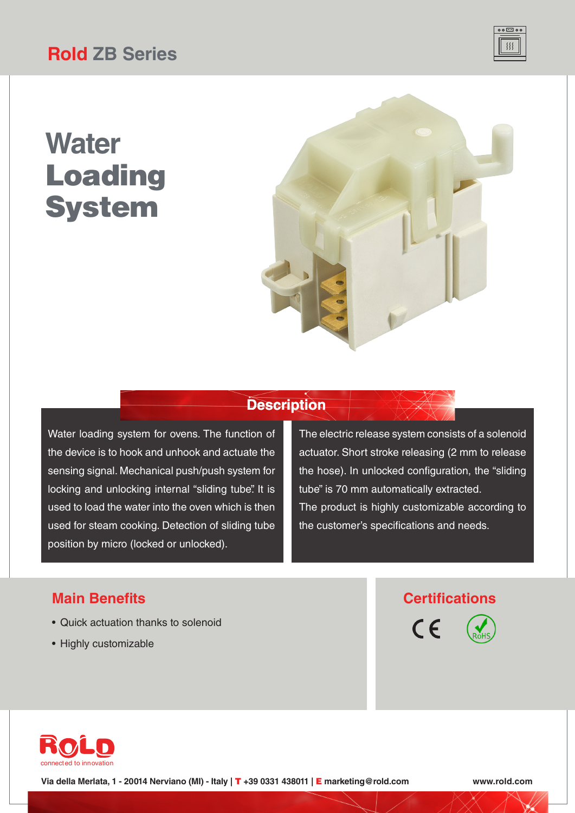## **Rold ZB Series**

# **Water** Loading **System**



### **Description**

Water loading system for ovens. The function of the device is to hook and unhook and actuate the sensing signal. Mechanical push/push system for locking and unlocking internal "sliding tube". It is used to load the water into the oven which is then used for steam cooking. Detection of sliding tube position by micro (locked or unlocked).

The electric release system consists of a solenoid actuator. Short stroke releasing (2 mm to release the hose). In unlocked configuration, the "sliding tube" is 70 mm automatically extracted. The product is highly customizable according to the customer's specifications and needs.

- Quick actuation thanks to solenoid
- Highly customizable

### **Main Benefits Certifications**





**Via della Merlata, 1 - 20014 Nerviano (MI) - Italy |** T **+39 0331 438011 |** E **marketing@rold.com www.rold.com**